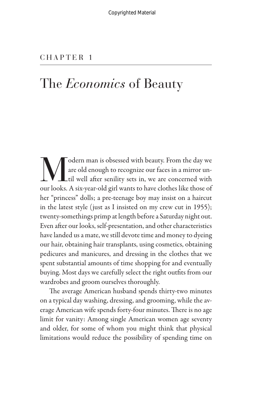## CHAPTER 1

## the *Economics* of Beauty

Modern man is obsessed with beauty. From the day we<br>are old enough to recognize our faces in a mirror un-<br>til well after senility sets in, we are concerned with<br>our looks. A six wear old girl wants to have clothes like tho are old enough to recognize our faces in a mirror until well after senility sets in, we are concerned with our looks. A six-year-old girl wants to have clothes like those of her "princess" dolls; a pre-teenage boy may insist on a haircut in the latest style (just as I insisted on my crew cut in 1955); twenty-somethings primp at length before a Saturday night out. Even after our looks, self-presentation, and other characteristics have landed us a mate, we still devote time and money to dyeing our hair, obtaining hair transplants, using cosmetics, obtaining pedicures and manicures, and dressing in the clothes that we spent substantial amounts of time shopping for and eventually buying. Most days we carefully select the right outfits from our wardrobes and groom ourselves thoroughly.

The average American husband spends thirty-two minutes on a typical day washing, dressing, and grooming, while the average American wife spends forty-four minutes. There is no age limit for vanity: Among single American women age seventy and older, for some of whom you might think that physical limitations would reduce the possibility of spending time on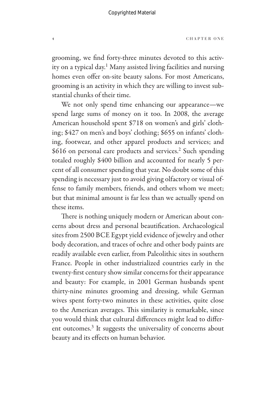grooming, we find forty-three minutes devoted to this activity on a typical day.<sup>1</sup> Many assisted living facilities and nursing homes even offer on-site beauty salons. For most Americans, grooming is an activity in which they are willing to invest substantial chunks of their time.

We not only spend time enhancing our appearance—we spend large sums of money on it too. In 2008, the average American household spent \$718 on women's and girls' clothing; \$427 on men's and boys' clothing; \$655 on infants' clothing, footwear, and other apparel products and services; and \$616 on personal care products and services.<sup>2</sup> Such spending totaled roughly \$400 billion and accounted for nearly 5 percent of all consumer spending that year. No doubt some of this spending is necessary just to avoid giving olfactory or visual offense to family members, friends, and others whom we meet; but that minimal amount is far less than we actually spend on these items.

There is nothing uniquely modern or American about concerns about dress and personal beautification. Archaeological sites from 2500 BCE Egypt yield evidence of jewelry and other body decoration, and traces of ochre and other body paints are readily available even earlier, from Paleolithic sites in southern France. People in other industrialized countries early in the twenty-first century show similar concerns for their appearance and beauty: For example, in 2001 German husbands spent thirty-nine minutes grooming and dressing, while German wives spent forty-two minutes in these activities, quite close to the American averages. This similarity is remarkable, since you would think that cultural differences might lead to different outcomes.3 It suggests the universality of concerns about beauty and its effects on human behavior.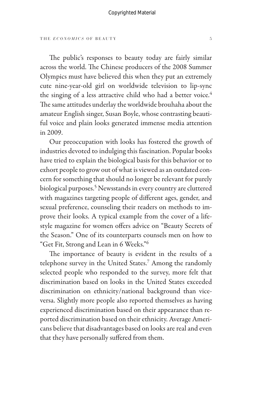The public's responses to beauty today are fairly similar across the world. The Chinese producers of the 2008 Summer Olympics must have believed this when they put an extremely cute nine-year-old girl on worldwide television to lip-sync the singing of a less attractive child who had a better voice.<sup>4</sup> The same attitudes underlay the worldwide brouhaha about the amateur English singer, Susan Boyle, whose contrasting beautiful voice and plain looks generated immense media attention in 2009.

Our preoccupation with looks has fostered the growth of industries devoted to indulging this fascination. Popular books have tried to explain the biological basis for this behavior or to exhort people to grow out of what is viewed as an outdated concern for something that should no longer be relevant for purely biological purposes.<sup>5</sup> Newsstands in every country are cluttered with magazines targeting people of different ages, gender, and sexual preference, counseling their readers on methods to improve their looks. A typical example from the cover of a lifestyle magazine for women offers advice on "Beauty Secrets of the Season." One of its counterparts counsels men on how to "Get Fit, Strong and Lean in 6 Weeks."6

The importance of beauty is evident in the results of a telephone survey in the United States.<sup>7</sup> Among the randomly selected people who responded to the survey, more felt that discrimination based on looks in the United States exceeded discrimination on ethnicity/national background than viceversa. Slightly more people also reported themselves as having experienced discrimination based on their appearance than reported discrimination based on their ethnicity. Average Americans believe that disadvantages based on looks are real and even that they have personally suffered from them.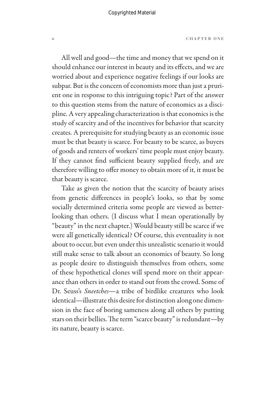Ì All well and good—the time and money that we spend on it should enhance our interest in beauty and its effects, and we are worried about and experience negative feelings if our looks are subpar. But is the concern of economists more than just a prurient one in response to this intriguing topic? Part of the answer to this question stems from the nature of economics as a discipline. A very appealing characterization is that economics is the study of scarcity and of the incentives for behavior that scarcity creates. A prerequisite for studying beauty as an economic issue must be that beauty is scarce. For beauty to be scarce, as buyers of goods and renters of workers' time people must enjoy beauty. If they cannot find sufficient beauty supplied freely, and are therefore willing to offer money to obtain more of it, it must be that beauty is scarce.

Take as given the notion that the scarcity of beauty arises from genetic differences in people's looks, so that by some socially determined criteria some people are viewed as betterlooking than others. (I discuss what I mean operationally by "beauty" in the next chapter.) Would beauty still be scarce if we were all genetically identical? Of course, this eventuality is not about to occur, but even under this unrealistic scenario it would still make sense to talk about an economics of beauty. So long as people desire to distinguish themselves from others, some of these hypothetical clones will spend more on their appearance than others in order to stand out from the crowd. Some of Dr. Seuss's *Sneetches*—a tribe of birdlike creatures who look identical—illustrate this desire for distinction along one dimension in the face of boring sameness along all others by putting stars on their bellies. The term "scarce beauty" is redundant—by its nature, beauty is scarce.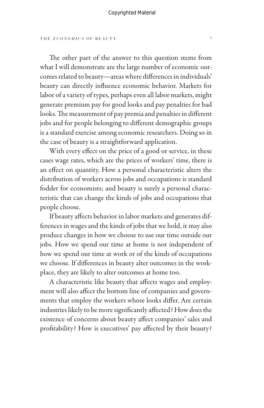The other part of the answer to this question stems from what I will demonstrate are the large number of economic outcomes related to beauty—areas where differences in individuals' beauty can directly influence economic behavior. Markets for labor of a variety of types, perhaps even all labor markets, might generate premium pay for good looks and pay penalties for bad looks. The measurement of pay premia and penalties in different jobs and for people belonging to different demographic groups is a standard exercise among economic researchers. Doing so in the case of beauty is a straightforward application.

With every effect on the price of a good or service, in these cases wage rates, which are the prices of workers' time, there is an effect on quantity. How a personal characteristic alters the distribution of workers across jobs and occupations is standard fodder for economists; and beauty is surely a personal characteristic that can change the kinds of jobs and occupations that people choose.

If beauty affects behavior in labor markets and generates differences in wages and the kinds of jobs that we hold, it may also produce changes in how we choose to use our time outside our jobs. How we spend our time at home is not independent of how we spend our time at work or of the kinds of occupations we choose. If differences in beauty alter outcomes in the workplace, they are likely to alter outcomes at home too.

A characteristic like beauty that affects wages and employment will also affect the bottom line of companies and governments that employ the workers whose looks differ. Are certain industries likely to be more significantly affected? How does the existence of concerns about beauty affect companies' sales and profitability? How is executives' pay affected by their beauty?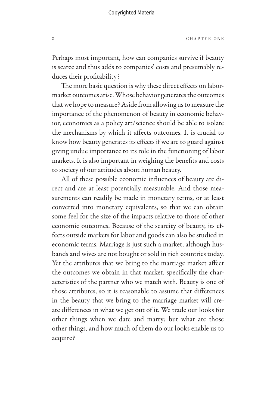Perhaps most important, how can companies survive if beauty is scarce and thus adds to companies' costs and presumably reduces their profitability?

The more basic question is why these direct effects on labormarket outcomes arise. Whose behavior generates the outcomes that we hope to measure? Aside from allowing us to measure the importance of the phenomenon of beauty in economic behavior, economics as a policy art/science should be able to isolate the mechanisms by which it affects outcomes. It is crucial to know how beauty generates its effects if we are to guard against giving undue importance to its role in the functioning of labor markets. It is also important in weighing the benefits and costs to society of our attitudes about human beauty.

All of these possible economic influences of beauty are direct and are at least potentially measurable. And those measurements can readily be made in monetary terms, or at least converted into monetary equivalents, so that we can obtain some feel for the size of the impacts relative to those of other economic outcomes. Because of the scarcity of beauty, its effects outside markets for labor and goods can also be studied in economic terms. Marriage is just such a market, although husbands and wives are not bought or sold in rich countries today. Yet the attributes that we bring to the marriage market affect the outcomes we obtain in that market, specifically the characteristics of the partner who we match with. Beauty is one of those attributes, so it is reasonable to assume that differences in the beauty that we bring to the marriage market will create differences in what we get out of it. We trade our looks for other things when we date and marry; but what are those other things, and how much of them do our looks enable us to acquire?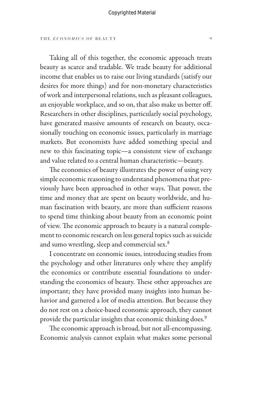Taking all of this together, the economic approach treats beauty as scarce and tradable. We trade beauty for additional income that enables us to raise our living standards (satisfy our desires for more things) and for non-monetary characteristics of work and interpersonal relations, such as pleasant colleagues, an enjoyable workplace, and so on, that also make us better off. Researchers in other disciplines, particularly social psychology, have generated massive amounts of research on beauty, occasionally touching on economic issues, particularly in marriage markets. But economists have added something special and new to this fascinating topic—a consistent view of exchange and value related to a central human characteristic—beauty.

The economics of beauty illustrates the power of using very simple economic reasoning to understand phenomena that previously have been approached in other ways. That power, the time and money that are spent on beauty worldwide, and human fascination with beauty, are more than sufficient reasons to spend time thinking about beauty from an economic point of view. The economic approach to beauty is a natural complement to economic research on less general topics such as suicide and sumo wrestling, sleep and commercial sex.8

I concentrate on economic issues, introducing studies from the psychology and other literatures only where they amplify the economics or contribute essential foundations to understanding the economics of beauty. These other approaches are important; they have provided many insights into human behavior and garnered a lot of media attention. But because they do not rest on a choice-based economic approach, they cannot provide the particular insights that economic thinking does.<sup>9</sup>

The economic approach is broad, but not all-encompassing. Economic analysis cannot explain what makes some personal